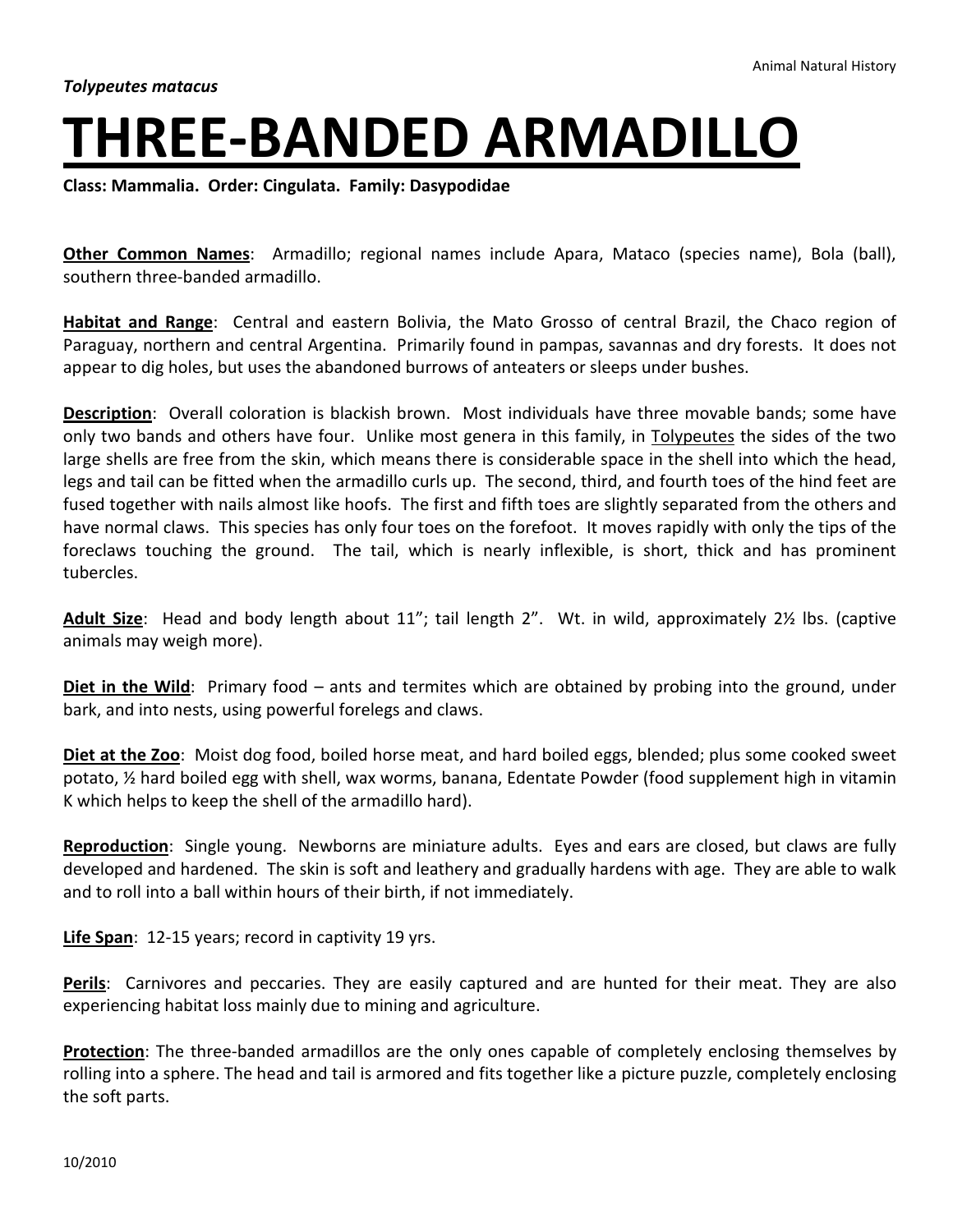## **THREE-BANDED ARMADILLO**

**Class: Mammalia. Order: Cingulata. Family: Dasypodidae**

**Other Common Names**: Armadillo; regional names include Apara, Mataco (species name), Bola (ball), southern three-banded armadillo.

**Habitat and Range**: Central and eastern Bolivia, the Mato Grosso of central Brazil, the Chaco region of Paraguay, northern and central Argentina. Primarily found in pampas, savannas and dry forests. It does not appear to dig holes, but uses the abandoned burrows of anteaters or sleeps under bushes.

**Description**: Overall coloration is blackish brown. Most individuals have three movable bands; some have only two bands and others have four. Unlike most genera in this family, in Tolypeutes the sides of the two large shells are free from the skin, which means there is considerable space in the shell into which the head, legs and tail can be fitted when the armadillo curls up. The second, third, and fourth toes of the hind feet are fused together with nails almost like hoofs. The first and fifth toes are slightly separated from the others and have normal claws. This species has only four toes on the forefoot. It moves rapidly with only the tips of the foreclaws touching the ground. The tail, which is nearly inflexible, is short, thick and has prominent tubercles.

**Adult Size**: Head and body length about 11"; tail length 2". Wt. in wild, approximately 2½ lbs. (captive animals may weigh more).

**Diet in the Wild**: Primary food – ants and termites which are obtained by probing into the ground, under bark, and into nests, using powerful forelegs and claws.

**Diet at the Zoo**: Moist dog food, boiled horse meat, and hard boiled eggs, blended; plus some cooked sweet potato, ½ hard boiled egg with shell, wax worms, banana, Edentate Powder (food supplement high in vitamin K which helps to keep the shell of the armadillo hard).

**Reproduction**: Single young. Newborns are miniature adults. Eyes and ears are closed, but claws are fully developed and hardened. The skin is soft and leathery and gradually hardens with age. They are able to walk and to roll into a ball within hours of their birth, if not immediately.

**Life Span**: 12-15 years; record in captivity 19 yrs.

**Perils**: Carnivores and peccaries. They are easily captured and are hunted for their meat. They are also experiencing habitat loss mainly due to mining and agriculture.

**Protection**: The three-banded armadillos are the only ones capable of completely enclosing themselves by rolling into a sphere. The head and tail is armored and fits together like a picture puzzle, completely enclosing the soft parts.